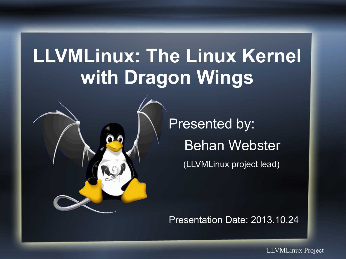#### **LLVMLinux: The Linux Kernel with Dragon Wings**



Presented by: Behan Webster (LLVMLinux project lead)

Presentation Date: 2013.10.24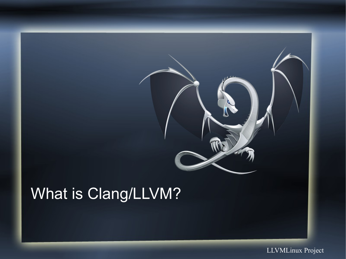

#### What is Clang/LLVM?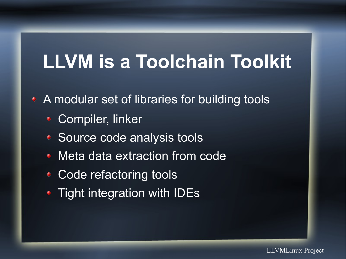#### **LLVM is a Toolchain Toolkit**

- A modular set of libraries for building tools
	- Compiler, linker
	- Source code analysis tools
	- Meta data extraction from code
	- Code refactoring tools
	- Tight integration with IDEs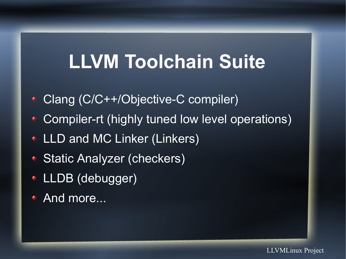#### **LLVM Toolchain Suite**

- Clang (C/C++/Objective-C compiler)
- Compiler-rt (highly tuned low level operations)
- **ELLD and MC Linker (Linkers)**
- Static Analyzer (checkers)
- LLDB (debugger)
- **And more...**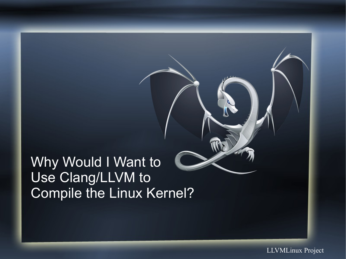#### Why Would I Want to Use Clang/LLVM to Compile the Linux Kernel?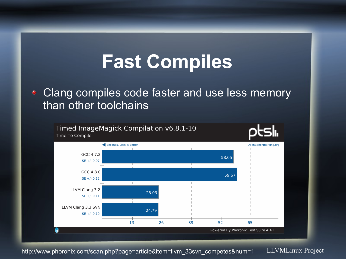#### **Fast Compiles**

#### Clang compiles code faster and use less memory  $\blacklozenge$ than other toolchains



LLVMLinux Project http://www.phoronix.com/scan.php?page=article&item=llvm\_33svn\_competes&num=1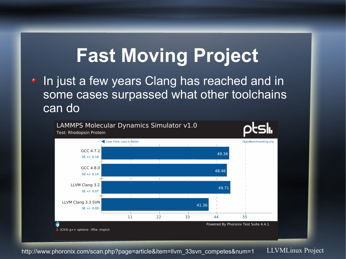#### **Fast Moving Project**

In just a few years Clang has reached and in some cases surpassed what other toolchains can do



LLVMLinux Project http://www.phoronix.com/scan.php?page=article&item=llvm\_33svn\_competes&num=1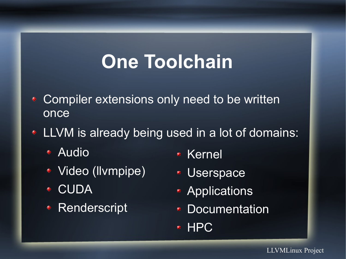#### **One Toolchain**

- Compiler extensions only need to be written once
- LLVM is already being used in a lot of domains:
	- Audio
	- Video (llvmpipe)
	- ◆ CUDA
	- Renderscript
- Kernel
- Userspace
- **Applications**
- **Documentation**
- HPC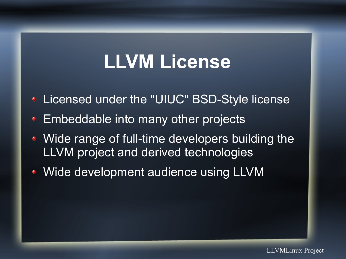#### **LLVM License**

- Licensed under the "UIUC" BSD-Style license
- ◆ Embeddable into many other projects
- Wide range of full-time developers building the LLVM project and derived technologies
- Wide development audience using LLVM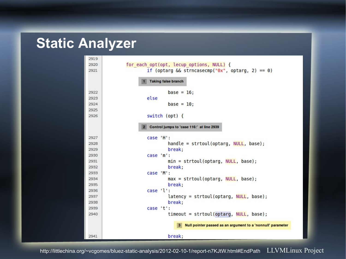#### **Static Analyzer**

| 2919 |                                                               |  |  |
|------|---------------------------------------------------------------|--|--|
| 2920 | for each opt(opt, lecup options, NULL) {                      |  |  |
| 2921 | if (optarg $\&$ strncasecmp(" $\theta x$ ", optarg, 2) == 0)  |  |  |
|      | <b>Taking false branch</b><br>$\blacksquare$                  |  |  |
| 2922 | base = $16$ ;                                                 |  |  |
| 2923 | else                                                          |  |  |
| 2924 | $base = 10$ ;                                                 |  |  |
| 2925 |                                                               |  |  |
| 2926 | switch (opt) {                                                |  |  |
|      | Control jumps to 'case 116:' at line 2939<br>$\overline{2}$   |  |  |
| 2927 | case 'H':                                                     |  |  |
| 2928 | $handle = strtoul(optarg, NULL, base);$                       |  |  |
| 2929 | break;                                                        |  |  |
| 2930 | case 'm':                                                     |  |  |
| 2931 | $min = strtoul(optarg, NULL, base);$                          |  |  |
| 2932 | break;                                                        |  |  |
| 2933 | case 'M':                                                     |  |  |
| 2934 | $max = strtoul(optarg, NULL, base);$                          |  |  |
| 2935 | break;                                                        |  |  |
| 2936 | case 'l':                                                     |  |  |
| 2937 | $latency = strtoul(optarg, NULL, base);$                      |  |  |
| 2938 | break;                                                        |  |  |
| 2939 | case 't':                                                     |  |  |
| 2940 | $timeout = struct(optarg, NULL, base);$                       |  |  |
|      | 3 Null pointer passed as an argument to a 'nonnull' parameter |  |  |
| 2941 | break;                                                        |  |  |

http://littlechina.org/~vcgomes/bluez-static-analysis/2012-02-10-1/report-n7KJtW.html#EndPath LLVMLinux Project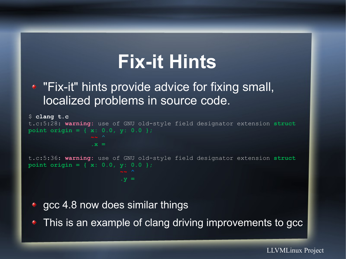#### **Fix-it Hints**

#### • "Fix-it" hints provide advice for fixing small, localized problems in source code.

```
$ clang t.c
t.c:5:28: warning: use of GNU old-style field designator extension struct 
point origin = { x: 0.0, y: 0.0 }; 
                   .x =
t.c:5:36: warning: use of GNU old-style field designator extension struct 
point origin = { x: 0.0, y: 0.0 }; 
\mathbf{y} = \mathbf{y} \cdot \mathbf{y}
```
• gcc 4.8 now does similar things

• This is an example of clang driving improvements to gcc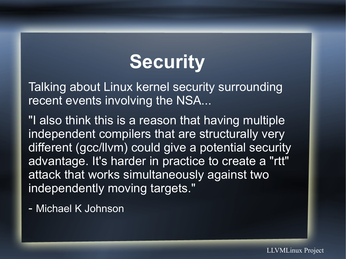#### **Security**

Talking about Linux kernel security surrounding recent events involving the NSA...

"I also think this is a reason that having multiple independent compilers that are structurally very different (gcc/llvm) could give a potential security advantage. It's harder in practice to create a "rtt" attack that works simultaneously against two independently moving targets."

- Michael K Johnson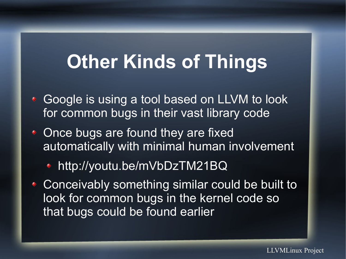#### **Other Kinds of Things**

- ◆ Google is using a tool based on LLVM to look for common bugs in their vast library code
- Once bugs are found they are fixed automatically with minimal human involvement
	- http://youtu.be/mVbDzTM21BQ
- Conceivably something similar could be built to look for common bugs in the kernel code so that bugs could be found earlier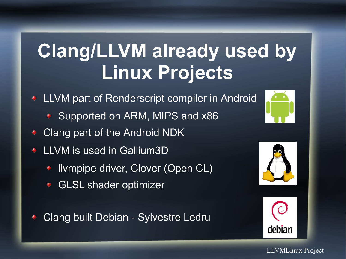#### **Clang/LLVM already used by Linux Projects**

- **LLVM part of Renderscript compiler in Android** 
	- ◆ Supported on ARM, MIPS and x86
- Clang part of the Android NDK
- LLVM is used in Gallium3D
	- llvmpipe driver, Clover (Open CL)
	- GLSL shader optimizer
- Clang built Debian Sylvestre Ledru



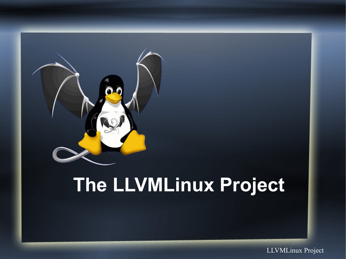

#### **The LLVMLinux Project**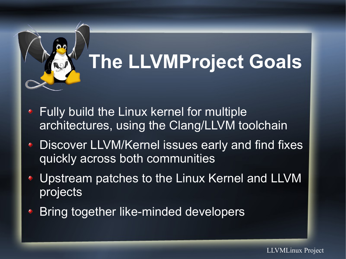

# **The LLVMProject Goals**

- Fully build the Linux kernel for multiple  $\begin{matrix} \bullet \\ \bullet \end{matrix}$ architectures, using the Clang/LLVM toolchain
- Discover LLVM/Kernel issues early and find fixes  $\bullet$ quickly across both communities
- Upstream patches to the Linux Kernel and LLVM projects
- Bring together like-minded developers $\blacklozenge$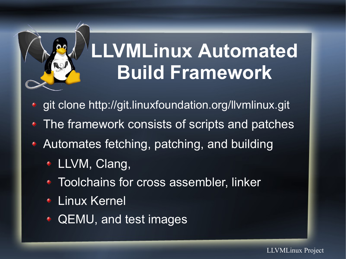

## **LLVMLinux Automated Build Framework**

- git clone <http://git.linuxfoundation.org/llvmlinux.git>
- The framework consists of scripts and patches
- Automates fetching, patching, and building
	- LLVM, Clang,
	- Toolchains for cross assembler, linker
	- Linux Kernel
	- QEMU, and test images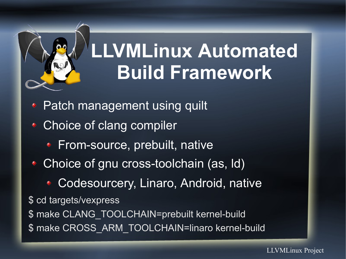

### **LLVMLinux Automated Build Framework**

- Patch management using quilt
- Choice of clang compiler
	- **From-source, prebuilt, native**
- Choice of gnu cross-toolchain (as, Id)
	- **Codesourcery, Linaro, Android, nativersity**

\$ cd targets/vexpress

\$ make CLANG\_TOOLCHAIN=prebuilt kernel-build \$ make CROSS\_ARM\_TOOLCHAIN=linaro kernel-build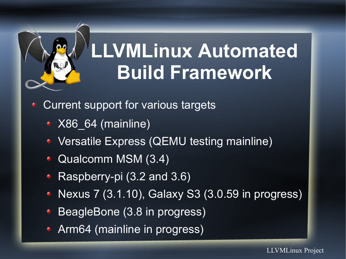

### **LLVMLinux Automated Build Framework**

- Current support for various targets
	- ◆ X86\_64 (mainline)
	- Versatile Express (QEMU testing mainline)
	- Qualcomm MSM (3.4)
	- Raspberry-pi (3.2 and 3.6)
	- Nexus 7 (3.1.10), Galaxy S3 (3.0.59 in progress)
	- BeagleBone (3.8 in progress)
	- Arm64 (mainline in progress)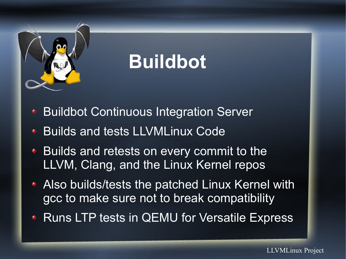

#### **Buildbot**

- Buildbot Continuous Integration Server
- Builds and tests LLVMLinux Code
- ◆ Builds and retests on every commit to the LLVM, Clang, and the Linux Kernel repos
- Also builds/tests the patched Linux Kernel with gcc to make sure not to break compatibility
- Runs LTP tests in QEMU for Versatile Express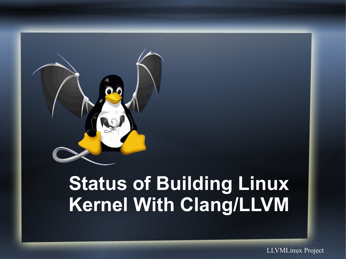

#### **Status of Building Linux Kernel With Clang/LLVM**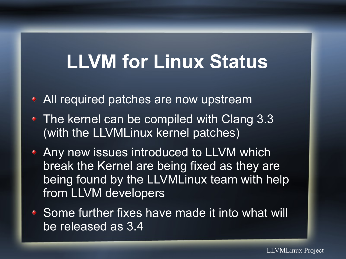#### **LLVM for Linux Status**

- All required patches are now upstream
- The kernel can be compiled with Clang 3.3 (with the LLVMLinux kernel patches)
- Any new issues introduced to LLVM which break the Kernel are being fixed as they are being found by the LLVMLinux team with help from LLVM developers
- ◆ Some further fixes have made it into what will be released as 3.4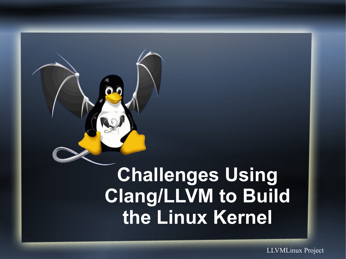

#### **Challenges Using Clang/LLVM to Build the Linux Kernel**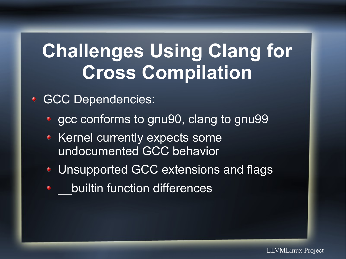#### **Challenges Using Clang for Cross Compilation**

**GCC Dependencies:** 

- gcc conforms to gnu90, clang to gnu99
- **Kernel currently expects some** undocumented GCC behavior
- Unsupported GCC extensions and flags
- \_\_builtin function differences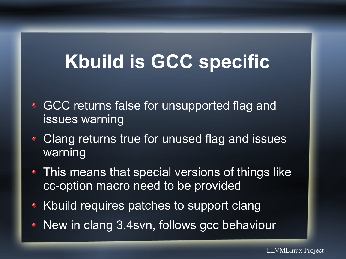#### **Kbuild is GCC specific**

- **GCC returns false for unsupported flag and** issues warning
- Clang returns true for unused flag and issues warning
- This means that special versions of things like cc-option macro need to be provided
- ◆ Kbuild requires patches to support clang
- New in clang 3.4svn, follows gcc behaviour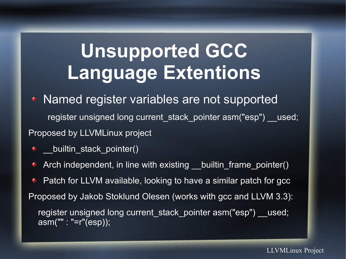#### **Unsupported GCC Language Extentions**

• Named register variables are not supported

register unsigned long current stack pointer asm("esp") used; Proposed by LLVMLinux project

- \_\_builtin\_stack\_pointer()
- Arch independent, in line with existing \_\_builtin\_frame\_pointer()

Patch for LLVM available, looking to have a similar patch for gcc Proposed by Jakob Stoklund Olesen (works with gcc and LLVM 3.3): register unsigned long current\_stack\_pointer asm("esp") \_\_used; asm("" : "=r"(esp));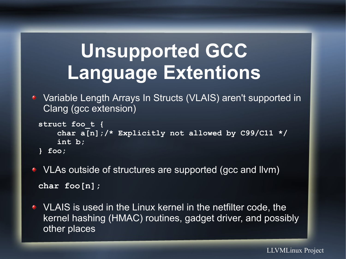#### **Unsupported GCC Language Extentions**

◆ Variable Length Arrays In Structs (VLAIS) aren't supported in Clang (gcc extension)

```
struct foo_t {
     char a[n];/* Explicitly not allowed by C99/C11 */
     int b;
} foo;
```
- VLAs outside of structures are supported (gcc and llvm) **char foo[n];**
- VLAIS is used in the Linux kernel in the netfilter code, the kernel hashing (HMAC) routines, gadget driver, and possibly other places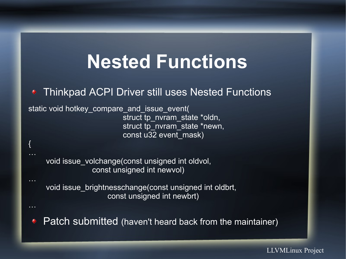#### **Nested Functions**

◆ Thinkpad ACPI Driver still uses Nested Functions

static void hotkey compare\_and\_issue\_event( struct tp\_nvram\_state \*oldn, struct tp\_nvram\_state \*newn, const u32 event\_mask)

{

…

 void issue\_volchange(const unsigned int oldvol, const unsigned int newvol)

 void issue\_brightnesschange(const unsigned int oldbrt, const unsigned int newbrt)

Patch submitted (haven't heard back from the maintainer)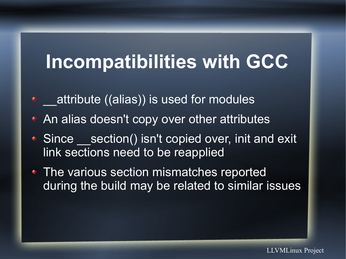#### **Incompatibilities with GCC**

- **\*** attribute ((alias)) is used for modules
- An alias doesn't copy over other attributes
- Since section() isn't copied over, init and exit link sections need to be reapplied
- The various section mismatches reported during the build may be related to similar issues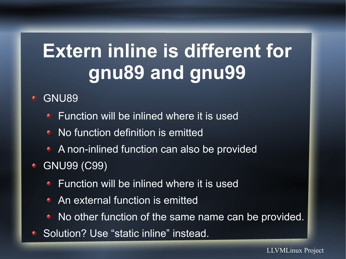#### **Extern inline is different for gnu89 and gnu99**

GNU89

- **Function will be inlined where it is used**
- No function definition is emitted
- ◆ A non-inlined function can also be provided
- GNU99 (C99)
	- **◆ Function will be inlined where it is used**
	- An external function is emitted
	- No other function of the same name can be provided.
- Solution? Use "static inline" instead.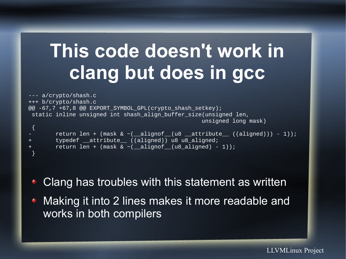#### **This code doesn't work in clang but does in gcc**

--- a/crypto/shash.c +++ b/crypto/shash.c @@ -67,7 +67,8 @@ EXPORT\_SYMBOL\_GPL(crypto\_shash\_setkey); static inline unsigned int shash align buffer size(unsigned len, unsigned long mask)

```
{
      return len + (mask & \sim (_alignof_(u8 _attribute_ ((aligned))) - 1));
      typedef __attribute__ ((aligned)) u8 u8_aligned;
      return len + (mask & ~( alignof (u8 aligned) - 1));
}
```
Clang has troubles with this statement as written

**• Making it into 2 lines makes it more readable and** works in both compilers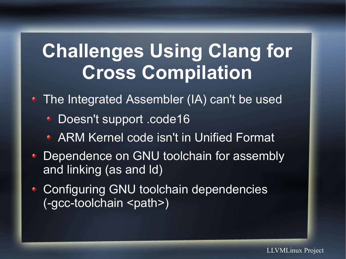#### **Challenges Using Clang for Cross Compilation**

• The Integrated Assembler (IA) can't be used

- ◆ Doesn't support .code16
- ARM Kernel code isn't in Unified Format
- Dependence on GNU toolchain for assembly and linking (as and ld)
- Configuring GNU toolchain dependencies (-gcc-toolchain <path>)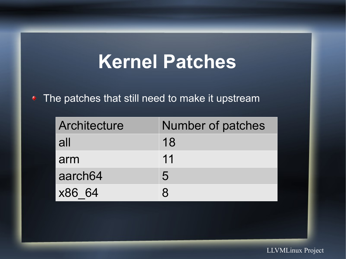#### **Kernel Patches**

#### • The patches that still need to make it upstream

| Architecture        | Number of patches |
|---------------------|-------------------|
| all                 | 18                |
| arm                 | 11                |
| aarch <sub>64</sub> | 5                 |
| x86 64              | R                 |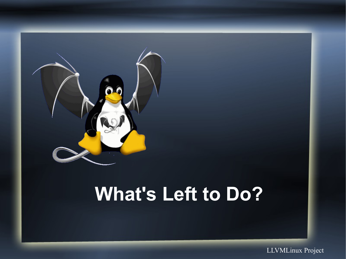

#### **What's Left to Do?**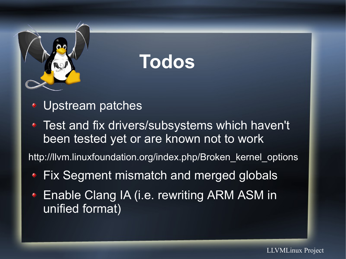

#### **Todos**

- Upstream patches
- Test and fix drivers/subsystems which haven't been tested yet or are known not to work

http://llvm.linuxfoundation.org/index.php/Broken\_kernel\_options

- Fix Segment mismatch and merged globals
- Enable Clang IA (i.e. rewriting ARM ASM in unified format)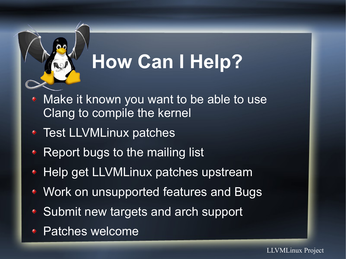

### **How Can I Help?**

- Make it known you want to be able to use Clang to compile the kernel
- ◆ Test LLVMLinux patches
- Report bugs to the mailing list
- ◆ Help get LLVMLinux patches upstream
- Work on unsupported features and Bugs
- ◆ Submit new targets and arch support
- Patches welcome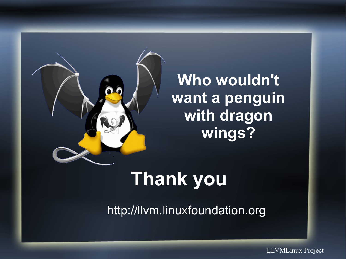

**Who wouldn't want a penguin with dragon wings?**

#### **Thank you**

http://llvm.linuxfoundation.org